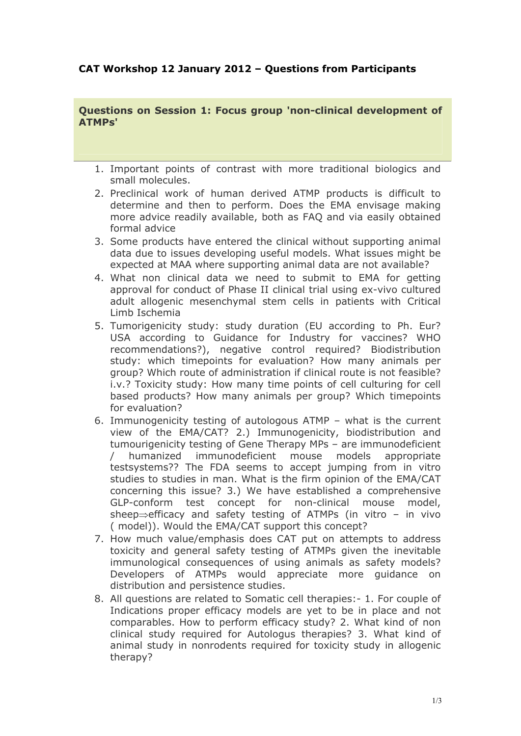## **CAT Workshop 12 January 2012 – Questions from Participants**

**Questions on Session 1: Focus group 'non-clinical development of ATMPs'**

- 1. Important points of contrast with more traditional biologics and small molecules.
- 2. Preclinical work of human derived ATMP products is difficult to determine and then to perform. Does the EMA envisage making more advice readily available, both as FAQ and via easily obtained formal advice
- 3. Some products have entered the clinical without supporting animal data due to issues developing useful models. What issues might be expected at MAA where supporting animal data are not available?
- 4. What non clinical data we need to submit to EMA for getting approval for conduct of Phase II clinical trial using ex-vivo cultured adult allogenic mesenchymal stem cells in patients with Critical Limb Ischemia
- 5. Tumorigenicity study: study duration (EU according to Ph. Eur? USA according to Guidance for Industry for vaccines? WHO recommendations?), negative control required? Biodistribution study: which timepoints for evaluation? How many animals per group? Which route of administration if clinical route is not feasible? i.v.? Toxicity study: How many time points of cell culturing for cell based products? How many animals per group? Which timepoints for evaluation?
- 6. Immunogenicity testing of autologous ATMP what is the current view of the EMA/CAT? 2.) Immunogenicity, biodistribution and tumourigenicity testing of Gene Therapy MPs – are immunodeficient / humanized immunodeficient mouse models appropriate testsystems?? The FDA seems to accept jumping from in vitro studies to studies in man. What is the firm opinion of the EMA/CAT concerning this issue? 3.) We have established a comprehensive GLP-conform test concept for non-clinical mouse model, sheep $\Rightarrow$ efficacy and safety testing of ATMPs (in vitro – in vivo ( model)). Would the EMA/CAT support this concept?
- 7. How much value/emphasis does CAT put on attempts to address toxicity and general safety testing of ATMPs given the inevitable immunological consequences of using animals as safety models? Developers of ATMPs would appreciate more guidance on distribution and persistence studies.
- 8. All questions are related to Somatic cell therapies:- 1. For couple of Indications proper efficacy models are yet to be in place and not comparables. How to perform efficacy study? 2. What kind of non clinical study required for Autologus therapies? 3. What kind of animal study in nonrodents required for toxicity study in allogenic therapy?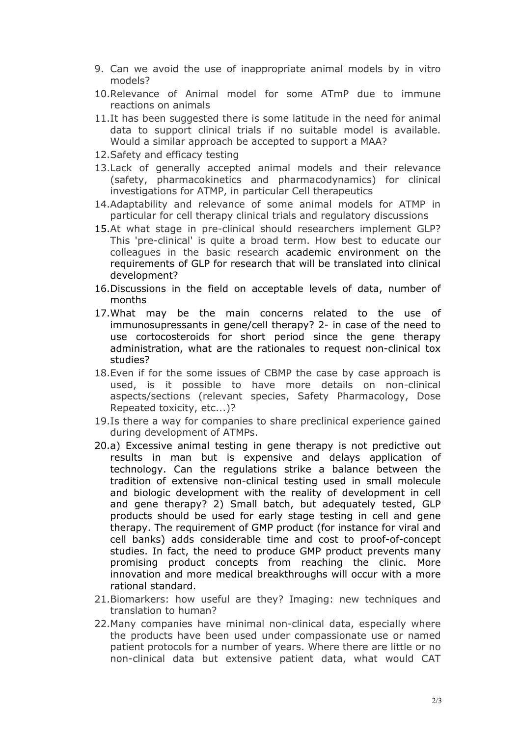- 9. Can we avoid the use of inappropriate animal models by in vitro models?
- 10.Relevance of Animal model for some ATmP due to immune reactions on animals
- 11.It has been suggested there is some latitude in the need for animal data to support clinical trials if no suitable model is available. Would a similar approach be accepted to support a MAA?
- 12.Safety and efficacy testing
- 13.Lack of generally accepted animal models and their relevance (safety, pharmacokinetics and pharmacodynamics) for clinical investigations for ATMP, in particular Cell therapeutics
- 14.Adaptability and relevance of some animal models for ATMP in particular for cell therapy clinical trials and regulatory discussions
- 15.At what stage in pre-clinical should researchers implement GLP? This 'pre-clinical' is quite a broad term. How best to educate our colleagues in the basic research academic environment on the requirements of GLP for research that will be translated into clinical development?
- 16.Discussions in the field on acceptable levels of data, number of months
- 17.What may be the main concerns related to the use of immunosupressants in gene/cell therapy? 2- in case of the need to use cortocosteroids for short period since the gene therapy administration, what are the rationales to request non-clinical tox studies?
- 18.Even if for the some issues of CBMP the case by case approach is used, is it possible to have more details on non-clinical aspects/sections (relevant species, Safety Pharmacology, Dose Repeated toxicity, etc...)?
- 19.Is there a way for companies to share preclinical experience gained during development of ATMPs.
- 20.a) Excessive animal testing in gene therapy is not predictive out results in man but is expensive and delays application of technology. Can the regulations strike a balance between the tradition of extensive non-clinical testing used in small molecule and biologic development with the reality of development in cell and gene therapy? 2) Small batch, but adequately tested, GLP products should be used for early stage testing in cell and gene therapy. The requirement of GMP product (for instance for viral and cell banks) adds considerable time and cost to proof-of-concept studies. In fact, the need to produce GMP product prevents many promising product concepts from reaching the clinic. More innovation and more medical breakthroughs will occur with a more rational standard.
- 21.Biomarkers: how useful are they? Imaging: new techniques and translation to human?
- 22.Many companies have minimal non-clinical data, especially where the products have been used under compassionate use or named patient protocols for a number of years. Where there are little or no non-clinical data but extensive patient data, what would CAT